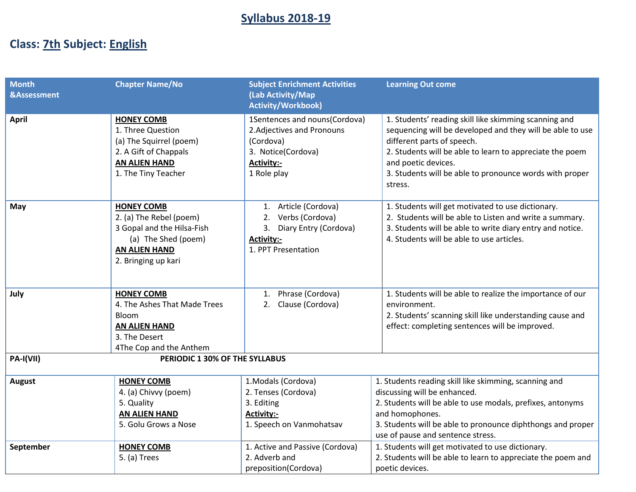# **Syllabus 2018-19**

# **Class: 7th Subject: English**

| <b>Month</b><br>&Assessment | <b>Chapter Name/No</b>                                                                                                                           | <b>Subject Enrichment Activities</b><br>(Lab Activity/Map<br><b>Activity/Workbook)</b>                                             | <b>Learning Out come</b>                                                                                                                                                                                                                                                                                  |
|-----------------------------|--------------------------------------------------------------------------------------------------------------------------------------------------|------------------------------------------------------------------------------------------------------------------------------------|-----------------------------------------------------------------------------------------------------------------------------------------------------------------------------------------------------------------------------------------------------------------------------------------------------------|
| <b>April</b>                | <b>HONEY COMB</b><br>1. Three Question<br>(a) The Squirrel (poem)<br>2. A Gift of Chappals<br><b>AN ALIEN HAND</b><br>1. The Tiny Teacher        | 1Sentences and nouns(Cordova)<br>2. Adjectives and Pronouns<br>(Cordova)<br>3. Notice(Cordova)<br><b>Activity:-</b><br>1 Role play | 1. Students' reading skill like skimming scanning and<br>sequencing will be developed and they will be able to use<br>different parts of speech.<br>2. Students will be able to learn to appreciate the poem<br>and poetic devices.<br>3. Students will be able to pronounce words with proper<br>stress. |
| May                         | <b>HONEY COMB</b><br>2. (a) The Rebel (poem)<br>3 Gopal and the Hilsa-Fish<br>(a) The Shed (poem)<br><b>AN ALIEN HAND</b><br>2. Bringing up kari | 1. Article (Cordova)<br>Verbs (Cordova)<br>2.<br>Diary Entry (Cordova)<br>3.<br><b>Activity:-</b><br>1. PPT Presentation           | 1. Students will get motivated to use dictionary.<br>2. Students will be able to Listen and write a summary.<br>3. Students will be able to write diary entry and notice.<br>4. Students will be able to use articles.                                                                                    |
| July                        | <b>HONEY COMB</b><br>4. The Ashes That Made Trees<br>Bloom<br><b>AN ALIEN HAND</b><br>3. The Desert<br>4The Cop and the Anthem                   | Phrase (Cordova)<br>1.<br>2. Clause (Cordova)                                                                                      | 1. Students will be able to realize the importance of our<br>environment.<br>2. Students' scanning skill like understanding cause and<br>effect: completing sentences will be improved.                                                                                                                   |
| PA-I(VII)                   | PERIODIC 1 30% OF THE SYLLABUS                                                                                                                   |                                                                                                                                    |                                                                                                                                                                                                                                                                                                           |
| August                      | <b>HONEY COMB</b><br>4. (a) Chivvy (poem)<br>5. Quality<br><b>AN ALIEN HAND</b><br>5. Golu Grows a Nose                                          | 1. Modals (Cordova)<br>2. Tenses (Cordova)<br>3. Editing<br><b>Activity:-</b><br>1. Speech on Vanmohatsav                          | 1. Students reading skill like skimming, scanning and<br>discussing will be enhanced.<br>2. Students will be able to use modals, prefixes, antonyms<br>and homophones.<br>3. Students will be able to pronounce diphthongs and proper<br>use of pause and sentence stress.                                |
| September                   | <b>HONEY COMB</b><br>5. (a) Trees                                                                                                                | 1. Active and Passive (Cordova)<br>2. Adverb and<br>preposition(Cordova)                                                           | 1. Students will get motivated to use dictionary.<br>2. Students will be able to learn to appreciate the poem and<br>poetic devices.                                                                                                                                                                      |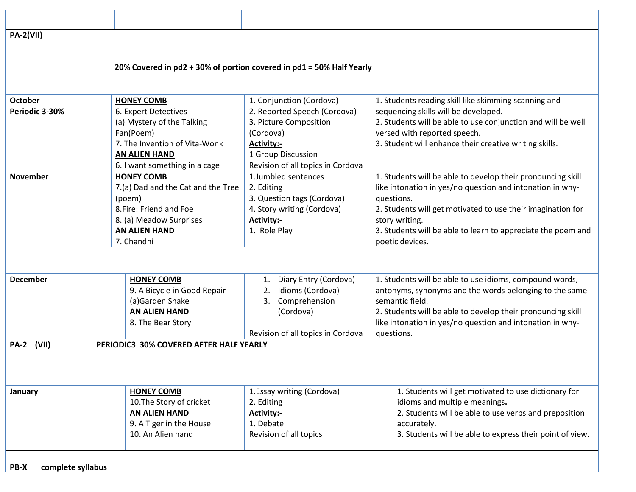**PA-2(VII)**

#### **20% Covered in pd2 + 30% of portion covered in pd1 = 50% Half Yearly**

| October           | <b>HONEY COMB</b>                       | 1. Conjunction (Cordova)          | 1. Students reading skill like skimming scanning and         |
|-------------------|-----------------------------------------|-----------------------------------|--------------------------------------------------------------|
| Periodic 3-30%    | 6. Expert Detectives                    | 2. Reported Speech (Cordova)      | sequencing skills will be developed.                         |
|                   | (a) Mystery of the Talking              | 3. Picture Composition            | 2. Students will be able to use conjunction and will be well |
|                   | Fan(Poem)                               | (Cordova)                         | versed with reported speech.                                 |
|                   | 7. The Invention of Vita-Wonk           | <b>Activity:-</b>                 | 3. Student will enhance their creative writing skills.       |
|                   | <b>AN ALIEN HAND</b>                    | 1 Group Discussion                |                                                              |
|                   | 6. I want something in a cage           | Revision of all topics in Cordova |                                                              |
| <b>November</b>   | <b>HONEY COMB</b>                       | 1.Jumbled sentences               | 1. Students will be able to develop their pronouncing skill  |
|                   | 7.(a) Dad and the Cat and the Tree      | 2. Editing                        | like intonation in yes/no question and intonation in why-    |
|                   | (poem)                                  | 3. Question tags (Cordova)        | questions.                                                   |
|                   | 8. Fire: Friend and Foe                 | 4. Story writing (Cordova)        | 2. Students will get motivated to use their imagination for  |
|                   | 8. (a) Meadow Surprises                 | <b>Activity:-</b>                 | story writing.                                               |
|                   | <b>AN ALIEN HAND</b>                    | 1. Role Play                      | 3. Students will be able to learn to appreciate the poem and |
|                   | 7. Chandni                              |                                   | poetic devices.                                              |
|                   |                                         |                                   |                                                              |
| <b>December</b>   | <b>HONEY COMB</b>                       | Diary Entry (Cordova)<br>1.       | 1. Students will be able to use idioms, compound words,      |
|                   | 9. A Bicycle in Good Repair             | Idioms (Cordova)<br>2.            | antonyms, synonyms and the words belonging to the same       |
|                   | (a)Garden Snake                         | Comprehension<br>3.               | semantic field.                                              |
|                   | <b>AN ALIEN HAND</b>                    | (Cordova)                         | 2. Students will be able to develop their pronouncing skill  |
|                   | 8. The Bear Story                       |                                   | like intonation in yes/no question and intonation in why-    |
|                   |                                         | Revision of all topics in Cordova | questions.                                                   |
| <b>PA-2 (VII)</b> | PERIODIC3 30% COVERED AFTER HALF YEARLY |                                   |                                                              |
|                   |                                         |                                   |                                                              |
| January           | <b>HONEY COMB</b>                       | 1.Essay writing (Cordova)         | 1. Students will get motivated to use dictionary for         |
|                   | 10. The Story of cricket                | 2. Editing                        | idioms and multiple meanings.                                |
|                   | <b>AN ALIEN HAND</b>                    | <b>Activity:-</b>                 | 2. Students will be able to use verbs and preposition        |
|                   | 9. A Tiger in the House                 | 1. Debate                         | accurately.                                                  |
|                   | 10. An Alien hand                       | Revision of all topics            | 3. Students will be able to express their point of view.     |
|                   |                                         |                                   |                                                              |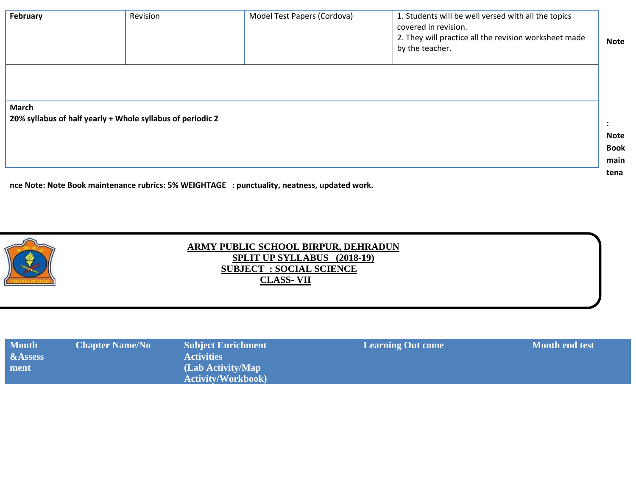| February                                                                   | Revision | Model Test Papers (Cordova) | 1. Students will be well versed with all the topics<br>covered in revision.<br>2. They will practice all the revision worksheet made<br>by the teacher. | <b>Note</b>    |
|----------------------------------------------------------------------------|----------|-----------------------------|---------------------------------------------------------------------------------------------------------------------------------------------------------|----------------|
| <b>March</b><br>20% syllabus of half yearly + Whole syllabus of periodic 2 |          |                             |                                                                                                                                                         |                |
|                                                                            |          |                             |                                                                                                                                                         | $\ddot{\cdot}$ |
|                                                                            |          |                             |                                                                                                                                                         | <b>Note</b>    |
|                                                                            |          |                             |                                                                                                                                                         | <b>Book</b>    |
|                                                                            |          |                             |                                                                                                                                                         | main           |
|                                                                            |          |                             |                                                                                                                                                         | tena           |

**nce Note: Note Book maintenance rubrics: 5% WEIGHTAGE : punctuality, neatness, updated work.**



#### **ARMY PUBLIC SCHOOL BIRPUR, DEHRADUN SPLIT UP SYLLABUS (2018-19) SUBJECT : SOCIAL SCIENCE CLASS- VII**

| <b>Month</b> | <b>Chapter Name/No</b> | <b>Subject Enrichment</b> | <b>Learning Out come</b> | <b>Month end test</b> |
|--------------|------------------------|---------------------------|--------------------------|-----------------------|
| &Assess      |                        | <b>Activities</b>         |                          |                       |
| ment         |                        | (Lab Activity/Map)        |                          |                       |
|              |                        | <b>Activity/Workbook)</b> |                          |                       |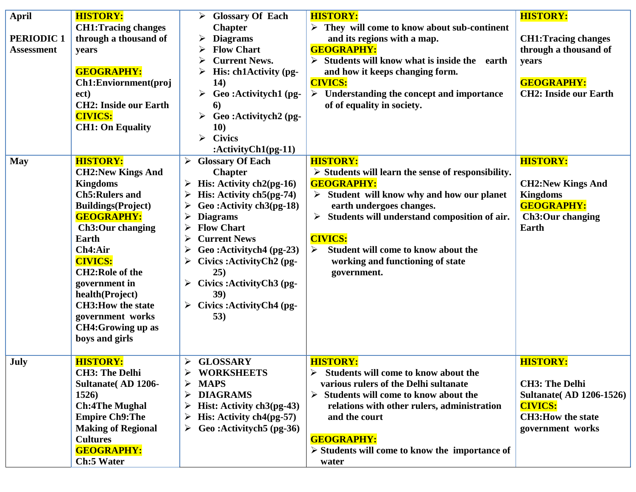| <b>April</b><br><b>PERIODIC1</b><br><b>Assessment</b> | <b>HISTORY:</b><br><b>CH1: Tracing changes</b><br>through a thousand of<br>years<br><b>GEOGRAPHY:</b><br>Ch1:Enviornment(proj<br>ect)<br><b>CH2: Inside our Earth</b><br><b>CIVICS:</b><br><b>CH1: On Equality</b>                                                                                                                                                            | <b>Glossary Of Each</b><br>➤<br><b>Chapter</b><br><b>Diagrams</b><br><b>Flow Chart</b><br><b>Current News.</b><br>His: ch1Activity (pg-<br>14)<br>Geo:Activitych1 (pg-<br>➤<br>6<br>Geo:Activitych2 (pg-<br>➤<br><b>10)</b><br><b>Civics</b><br>≻<br>: $\text{ActivityCh1}(pg-11)$                                                                                                                                               | <b>HISTORY:</b><br>$\triangleright$ They will come to know about sub-continent<br>and its regions with a map.<br><b>GEOGRAPHY:</b><br>$\triangleright$ Students will know what is inside the<br>earth<br>and how it keeps changing form.<br><b>CIVICS:</b><br>$\triangleright$ Understanding the concept and importance<br>of of equality in society. | <b>HISTORY:</b><br><b>CH1: Tracing changes</b><br>through a thousand of<br>years<br><b>GEOGRAPHY:</b><br><b>CH2: Inside our Earth</b>          |
|-------------------------------------------------------|-------------------------------------------------------------------------------------------------------------------------------------------------------------------------------------------------------------------------------------------------------------------------------------------------------------------------------------------------------------------------------|----------------------------------------------------------------------------------------------------------------------------------------------------------------------------------------------------------------------------------------------------------------------------------------------------------------------------------------------------------------------------------------------------------------------------------|-------------------------------------------------------------------------------------------------------------------------------------------------------------------------------------------------------------------------------------------------------------------------------------------------------------------------------------------------------|------------------------------------------------------------------------------------------------------------------------------------------------|
| <b>May</b>                                            | <b>HISTORY:</b><br><b>CH2:New Kings And</b><br><b>Kingdoms</b><br><b>Ch5:Rulers and</b><br><b>Buildings(Project)</b><br><b>GEOGRAPHY:</b><br><b>Ch3:Our changing</b><br><b>Earth</b><br>Ch4:Air<br><b>CIVICS:</b><br><b>CH2:Role of the</b><br>government in<br>health(Project)<br><b>CH3:How the state</b><br>government works<br><b>CH4:Growing up as</b><br>boys and girls | $\triangleright$ Glossary Of Each<br><b>Chapter</b><br>$\triangleright$ His: Activity ch2(pg-16)<br>His: Activity $ch5(pg-74)$<br>➤<br>Geo: Activity ch3(pg-18)<br><b>Diagrams</b><br><b>Flow Chart</b><br>➤<br><b>Current News</b><br>➤<br>Geo:Activitych4 (pg-23)<br>Civics : Activity Ch <sub>2</sub> (pg-<br>25)<br>$\triangleright$ Civics : Activity Ch3 (pg-<br>39)<br>$\triangleright$ Civics : Activity Ch4 (pg-<br>53) | <b>HISTORY:</b><br>$\triangleright$ Students will learn the sense of responsibility.<br><b>GEOGRAPHY:</b><br>Student will know why and how our planet<br>earth undergoes changes.<br>Students will understand composition of air.<br><b>CIVICS:</b><br>Student will come to know about the<br>➤<br>working and functioning of state<br>government.    | <b>HISTORY:</b><br><b>CH2:New Kings And</b><br><b>Kingdoms</b><br><b>GEOGRAPHY:</b><br><b>Ch3:Our changing</b><br>Earth                        |
| July                                                  | <b>HISTORY:</b><br><b>CH3: The Delhi</b><br><b>Sultanate (AD 1206-</b><br>1526)<br><b>Ch:4The Mughal</b><br><b>Empire Ch9: The</b><br><b>Making of Regional</b><br><b>Cultures</b><br><b>GEOGRAPHY:</b><br><b>Ch:5 Water</b>                                                                                                                                                  | <b>GLOSSARY</b><br>$\blacktriangleright$<br><b>WORKSHEETS</b><br><b>MAPS</b><br>➤<br><b>DIAGRAMS</b><br>$\triangleright$ Hist: Activity ch3(pg-43)<br>$\triangleright$ His: Activity ch4(pg-57)<br>$\triangleright$ Geo : Activitych 5 (pg-36)                                                                                                                                                                                   | <b>HISTORY:</b><br>Students will come to know about the<br>various rulers of the Delhi sultanate<br>Students will come to know about the<br>➤<br>relations with other rulers, administration<br>and the court<br><b>GEOGRAPHY:</b><br>$\triangleright$ Students will come to know the importance of<br>water                                          | <b>HISTORY:</b><br><b>CH3: The Delhi</b><br><b>Sultanate</b> (AD 1206-1526)<br><b>CIVICS:</b><br><b>CH3: How the state</b><br>government works |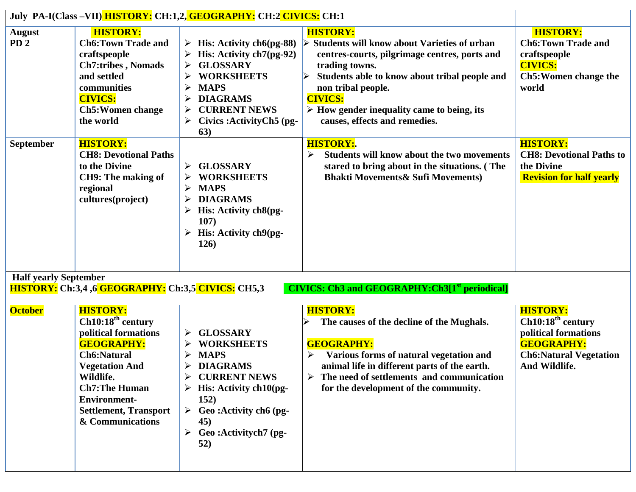|                                           |                                                                                                                                                                                                                                                                                                                           | July PA-I(Class –VII) HISTORY: CH:1,2, GEOGRAPHY: CH:2 CIVICS: CH:1                                                                                                                                                                                    |                                                                                                                                                                                                                                                                                                                                         |                                                                                                                                                 |
|-------------------------------------------|---------------------------------------------------------------------------------------------------------------------------------------------------------------------------------------------------------------------------------------------------------------------------------------------------------------------------|--------------------------------------------------------------------------------------------------------------------------------------------------------------------------------------------------------------------------------------------------------|-----------------------------------------------------------------------------------------------------------------------------------------------------------------------------------------------------------------------------------------------------------------------------------------------------------------------------------------|-------------------------------------------------------------------------------------------------------------------------------------------------|
| <b>August</b><br>PD <sub>2</sub>          | <b>HISTORY:</b><br><b>Ch6:Town Trade and</b><br>craftspeople<br><b>Ch7:tribes, Nomads</b><br>and settled<br>communities<br><b>CIVICS:</b><br><b>Ch5: Women change</b><br>the world                                                                                                                                        | $\triangleright$ His: Activity ch6(pg-88)<br>$\triangleright$ His: Activity ch7(pg-92)<br><b>GLOSSARY</b><br>➤<br><b>WORKSHEETS</b><br>➤<br><b>MAPS</b><br><b>DIAGRAMS</b><br><b>CURRENT NEWS</b><br>➤<br>Civics: Activity Ch <sub>5</sub> (pg-<br>63) | <b>HISTORY:</b><br><b>Students will know about Varieties of urban</b><br>centres-courts, pilgrimage centres, ports and<br>trading towns.<br>Students able to know about tribal people and<br>non tribal people.<br><b>CIVICS:</b><br>$\triangleright$ How gender inequality came to being, its<br>causes, effects and remedies.         | <b>HISTORY:</b><br><b>Ch6: Town Trade and</b><br>craftspeople<br><b>CIVICS:</b><br>Ch5: Women change the<br>world                               |
| September<br><b>Half yearly September</b> | <b>HISTORY:</b><br><b>CH8: Devotional Paths</b><br>to the Divine<br><b>CH9: The making of</b><br>regional<br>cultures(project)                                                                                                                                                                                            | $\triangleright$ GLOSSARY<br><b>WORKSHEETS</b><br><b>MAPS</b><br><b>DIAGRAMS</b><br>His: Activity ch8(pg-<br>$\blacktriangleright$<br>107)<br>$\triangleright$ His: Activity ch9(pg-<br><b>126</b> )                                                   | <b>HISTORY:.</b><br><b>Students will know about the two movements</b><br>➤<br>stared to bring about in the situations. (The<br><b>Bhakti Movements &amp; Sufi Movements)</b>                                                                                                                                                            | <b>HISTORY:</b><br><b>CH8: Devotional Paths to</b><br>the Divine<br><b>Revision for half yearly</b>                                             |
| <b>October</b>                            | <b>HISTORY:</b> Ch:3,4 ,6 GEOGRAPHY: Ch:3,5 CIVICS: CH5,3<br><b>HISTORY:</b><br>Ch10:18 <sup>th</sup> century<br>political formations<br><b>GEOGRAPHY:</b><br><b>Ch6:Natural</b><br><b>Vegetation And</b><br>Wildlife.<br><b>Ch7:The Human</b><br><b>Environment-</b><br><b>Settlement, Transport</b><br>& Communications | <b>GLOSSARY</b><br><b>WORKSHEETS</b><br>➤<br><b>MAPS</b><br><b>DIAGRAMS</b><br>➤<br><b>CURRENT NEWS</b><br>His: Activity ch10(pg-<br>➤<br><b>152</b> )<br>$\triangleright$ Geo : Activity ch6 (pg-<br>45)<br>Geo:Activitych7 (pg-<br>➤<br>52)          | <b>CIVICS:</b> Ch3 and GEOGRAPHY: Ch3[1 <sup>st</sup> periodical]<br><b>HISTORY:</b><br>The causes of the decline of the Mughals.<br><b>GEOGRAPHY:</b><br>Various forms of natural vegetation and<br>animal life in different parts of the earth.<br>The need of settlements and communication<br>for the development of the community. | <b>HISTORY:</b><br>Ch10:18 <sup>th</sup> century<br>political formations<br><b>GEOGRAPHY:</b><br><b>Ch6:Natural Vegetation</b><br>And Wildlife. |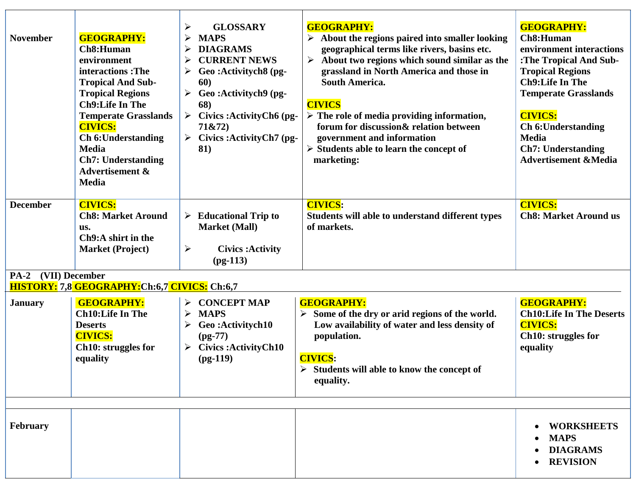| <b>November</b>     | <b>GEOGRAPHY:</b><br>Ch8:Human<br>environment<br>interactions: The<br><b>Tropical And Sub-</b><br><b>Tropical Regions</b><br><b>Ch9:Life In The</b><br><b>Temperate Grasslands</b><br><b>CIVICS:</b><br><b>Ch 6: Understanding</b><br><b>Media</b><br><b>Ch7: Understanding</b><br><b>Advertisement &amp;</b><br><b>Media</b> | <b>GLOSSARY</b><br>➤<br><b>MAPS</b><br>≻<br><b>DIAGRAMS</b><br>≻<br><b>CURRENT NEWS</b><br>⋗<br>Geo:Activitych8 (pg-<br>60)<br>Geo:Activitych9 (pg-<br>≻<br>68)<br>Civics: Activity Ch <sub>6</sub> (pg-<br>$\blacktriangleright$<br>71&72)<br>Civics: ActivityCh7 (pg-<br>81) | <b>GEOGRAPHY:</b><br>About the regions paired into smaller looking<br>geographical terms like rivers, basins etc.<br>About two regions which sound similar as the<br>grassland in North America and those in<br><b>South America.</b><br><b>CIVICS</b><br>$\triangleright$ The role of media providing information,<br>forum for discussion & relation between<br>government and information<br>$\triangleright$ Students able to learn the concept of<br>marketing: | <b>GEOGRAPHY:</b><br>Ch8:Human<br>environment interactions<br>:The Tropical And Sub-<br><b>Tropical Regions</b><br><b>Ch9:Life In The</b><br><b>Temperate Grasslands</b><br><b>CIVICS:</b><br><b>Ch 6: Understanding</b><br><b>Media</b><br><b>Ch7: Understanding</b><br><b>Advertisement &amp;Media</b> |
|---------------------|-------------------------------------------------------------------------------------------------------------------------------------------------------------------------------------------------------------------------------------------------------------------------------------------------------------------------------|--------------------------------------------------------------------------------------------------------------------------------------------------------------------------------------------------------------------------------------------------------------------------------|----------------------------------------------------------------------------------------------------------------------------------------------------------------------------------------------------------------------------------------------------------------------------------------------------------------------------------------------------------------------------------------------------------------------------------------------------------------------|----------------------------------------------------------------------------------------------------------------------------------------------------------------------------------------------------------------------------------------------------------------------------------------------------------|
| <b>December</b>     | <b>CIVICS:</b><br><b>Ch8: Market Around</b><br>us.<br>Ch9:A shirt in the<br><b>Market (Project)</b>                                                                                                                                                                                                                           | <b>Educational Trip to</b><br>➤<br><b>Market (Mall)</b><br>$\blacktriangleright$<br><b>Civics: Activity</b><br>$(pg-113)$                                                                                                                                                      | <b>CIVICS:</b><br>Students will able to understand different types<br>of markets.                                                                                                                                                                                                                                                                                                                                                                                    | <b>CIVICS:</b><br><b>Ch8: Market Around us</b>                                                                                                                                                                                                                                                           |
| PA-2 (VII) December | HISTORY: 7,8 GEOGRAPHY: Ch:6,7 CIVICS: Ch:6,7                                                                                                                                                                                                                                                                                 |                                                                                                                                                                                                                                                                                |                                                                                                                                                                                                                                                                                                                                                                                                                                                                      |                                                                                                                                                                                                                                                                                                          |
| <b>January</b>      | <b>GEOGRAPHY:</b><br><b>Ch10:Life In The</b><br><b>Deserts</b><br><b>CIVICS:</b><br>Ch10: struggles for<br>equality                                                                                                                                                                                                           | <b>CONCEPT MAP</b><br>➤<br><b>MAPS</b><br>Geo:Activitych10<br>$(pg-77)$<br><b>Civics:ActivityCh10</b><br>$(pg-119)$                                                                                                                                                            | <b>GEOGRAPHY:</b><br>Some of the dry or arid regions of the world.<br>Low availability of water and less density of<br>population.<br><b>CIVICS:</b><br>$\triangleright$ Students will able to know the concept of<br>equality.                                                                                                                                                                                                                                      | <b>GEOGRAPHY:</b><br><b>Ch10:Life In The Deserts</b><br><b>CIVICS:</b><br>Ch10: struggles for<br>equality                                                                                                                                                                                                |
|                     |                                                                                                                                                                                                                                                                                                                               |                                                                                                                                                                                                                                                                                |                                                                                                                                                                                                                                                                                                                                                                                                                                                                      |                                                                                                                                                                                                                                                                                                          |
| February            |                                                                                                                                                                                                                                                                                                                               |                                                                                                                                                                                                                                                                                |                                                                                                                                                                                                                                                                                                                                                                                                                                                                      | <b>WORKSHEETS</b><br><b>MAPS</b><br><b>DIAGRAMS</b><br><b>REVISION</b>                                                                                                                                                                                                                                   |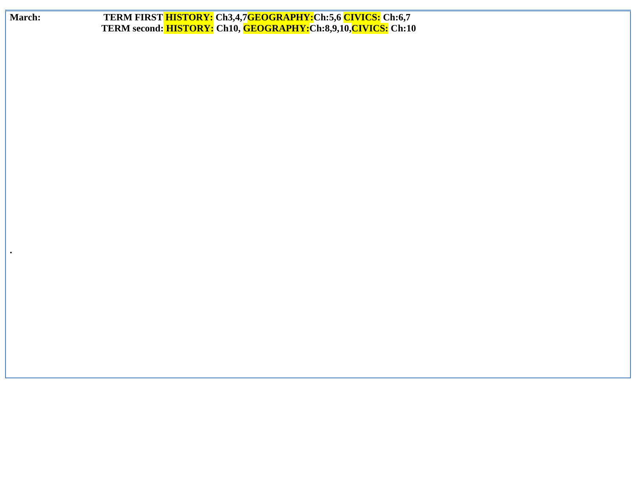| March:    | TERM FIRST HISTORY: Ch3,4,7GEOGRAPHY:Ch:5,6 CIVICS: Ch:6,7<br>TERM second: HISTORY: Ch10, GEOGRAPHY:Ch:8,9,10, CIVICS: Ch:10 |
|-----------|------------------------------------------------------------------------------------------------------------------------------|
|           |                                                                                                                              |
|           |                                                                                                                              |
|           |                                                                                                                              |
|           |                                                                                                                              |
|           |                                                                                                                              |
|           |                                                                                                                              |
|           |                                                                                                                              |
| $\bullet$ |                                                                                                                              |
|           |                                                                                                                              |
|           |                                                                                                                              |
|           |                                                                                                                              |
|           |                                                                                                                              |
|           |                                                                                                                              |
|           |                                                                                                                              |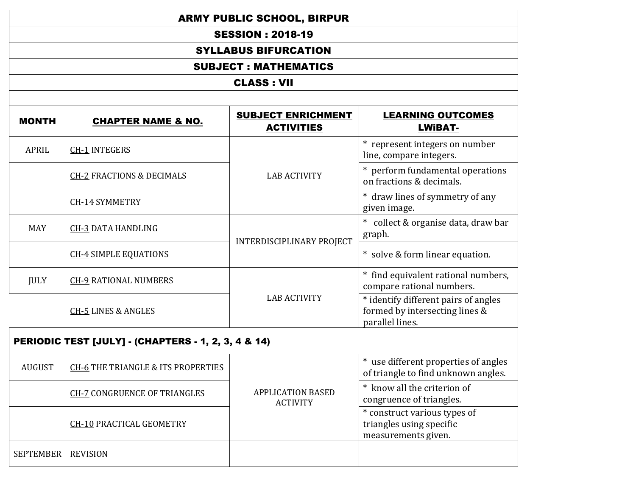|                  | <b>ARMY PUBLIC SCHOOL, BIRPUR</b>                                                                                             |                                             |                                                                                           |  |  |  |
|------------------|-------------------------------------------------------------------------------------------------------------------------------|---------------------------------------------|-------------------------------------------------------------------------------------------|--|--|--|
|                  | <b>SESSION: 2018-19</b><br><b>SYLLABUS BIFURCATION</b>                                                                        |                                             |                                                                                           |  |  |  |
|                  |                                                                                                                               |                                             |                                                                                           |  |  |  |
|                  |                                                                                                                               | <b>SUBJECT: MATHEMATICS</b>                 |                                                                                           |  |  |  |
|                  |                                                                                                                               | <b>CLASS: VII</b>                           |                                                                                           |  |  |  |
| <b>MONTH</b>     | <b>SUBJECT ENRICHMENT</b><br><b>LEARNING OUTCOMES</b><br><b>CHAPTER NAME &amp; NO.</b><br><b>ACTIVITIES</b><br><b>LWIBAT-</b> |                                             |                                                                                           |  |  |  |
| <b>APRIL</b>     | <b>CH-1 INTEGERS</b>                                                                                                          |                                             | * represent integers on number<br>line, compare integers.                                 |  |  |  |
|                  | <b>CH-2 FRACTIONS &amp; DECIMALS</b>                                                                                          | <b>LAB ACTIVITY</b>                         | * perform fundamental operations<br>on fractions & decimals.                              |  |  |  |
|                  | CH-14 SYMMETRY                                                                                                                |                                             | * draw lines of symmetry of any<br>given image.                                           |  |  |  |
| <b>MAY</b>       | <b>CH-3 DATA HANDLING</b>                                                                                                     | <b>INTERDISCIPLINARY PROJECT</b>            | * collect & organise data, draw bar<br>graph.                                             |  |  |  |
|                  | <b>CH-4 SIMPLE EQUATIONS</b>                                                                                                  |                                             | * solve & form linear equation.                                                           |  |  |  |
| <b>JULY</b>      | <b>CH-9 RATIONAL NUMBERS</b>                                                                                                  |                                             | * find equivalent rational numbers,<br>compare rational numbers.                          |  |  |  |
|                  | <b>CH-5 LINES &amp; ANGLES</b>                                                                                                | <b>LAB ACTIVITY</b>                         | * identify different pairs of angles<br>formed by intersecting lines &<br>parallel lines. |  |  |  |
|                  | PERIODIC TEST [JULY] - (CHAPTERS - 1, 2, 3, 4 & 14)                                                                           |                                             |                                                                                           |  |  |  |
| <b>AUGUST</b>    | <b>CH-6 THE TRIANGLE &amp; ITS PROPERTIES</b>                                                                                 |                                             | * use different properties of angles<br>of triangle to find unknown angles.               |  |  |  |
|                  | <b>CH-7 CONGRUENCE OF TRIANGLES</b>                                                                                           | <b>APPLICATION BASED</b><br><b>ACTIVITY</b> | * know all the criterion of<br>congruence of triangles.                                   |  |  |  |
|                  | <b>CH-10 PRACTICAL GEOMETRY</b>                                                                                               |                                             | * construct various types of<br>triangles using specific<br>measurements given.           |  |  |  |
| <b>SEPTEMBER</b> | <b>REVISION</b>                                                                                                               |                                             |                                                                                           |  |  |  |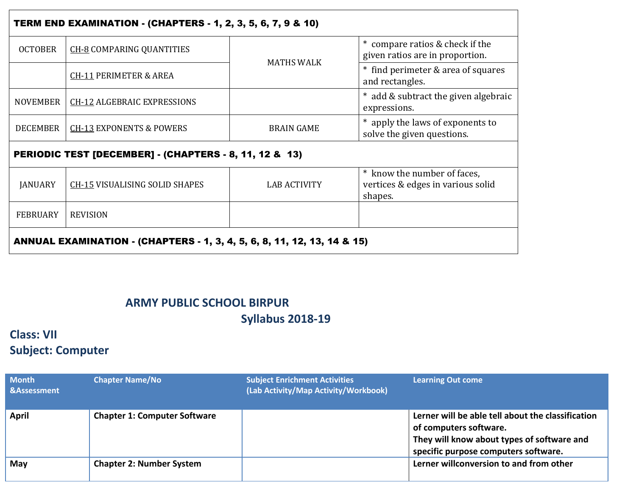| <b>TERM END EXAMINATION - (CHAPTERS - 1, 2, 3, 5, 6, 7, 9 &amp; 10)</b> |                                                        |                     |                                                                             |  |  |
|-------------------------------------------------------------------------|--------------------------------------------------------|---------------------|-----------------------------------------------------------------------------|--|--|
| <b>OCTOBER</b>                                                          | <b>CH-8 COMPARING QUANTITIES</b>                       |                     | * compare ratios & check if the<br>given ratios are in proportion.          |  |  |
|                                                                         | <b>CH-11 PERIMETER &amp; AREA</b>                      | <b>MATHS WALK</b>   | * find perimeter & area of squares<br>and rectangles.                       |  |  |
| NOVEMBER                                                                | <b>CH-12 ALGEBRAIC EXPRESSIONS</b>                     |                     | * add & subtract the given algebraic<br>expressions.                        |  |  |
| <b>DECEMBER</b>                                                         | <b>CH-13 EXPONENTS &amp; POWERS</b>                    | <b>BRAIN GAME</b>   | * apply the laws of exponents to<br>solve the given questions.              |  |  |
|                                                                         | PERIODIC TEST [DECEMBER] - (CHAPTERS - 8, 11, 12 & 13) |                     |                                                                             |  |  |
| <b>JANUARY</b>                                                          | <b>CH-15 VISUALISING SOLID SHAPES</b>                  | <b>LAB ACTIVITY</b> | * know the number of faces,<br>vertices & edges in various solid<br>shapes. |  |  |
| <b>FEBRUARY</b>                                                         | <b>REVISION</b>                                        |                     |                                                                             |  |  |
| ANNUAL EXAMINATION - (CHAPTERS - 1, 3, 4, 5, 6, 8, 11, 12, 13, 14 & 15) |                                                        |                     |                                                                             |  |  |

### **ARMY PUBLIC SCHOOL BIRPUR Syllabus 2018-19**

## **Class: VII Subject: Computer**

| <b>Month</b><br>&Assessment | <b>Chapter Name/No</b>              | <b>Subject Enrichment Activities</b><br>(Lab Activity/Map Activity/Workbook) | <b>Learning Out come</b>                                                                                                                                          |
|-----------------------------|-------------------------------------|------------------------------------------------------------------------------|-------------------------------------------------------------------------------------------------------------------------------------------------------------------|
| April                       | <b>Chapter 1: Computer Software</b> |                                                                              | Lerner will be able tell about the classification<br>of computers software.<br>They will know about types of software and<br>specific purpose computers software. |
| May                         | <b>Chapter 2: Number System</b>     |                                                                              | Lerner willconversion to and from other                                                                                                                           |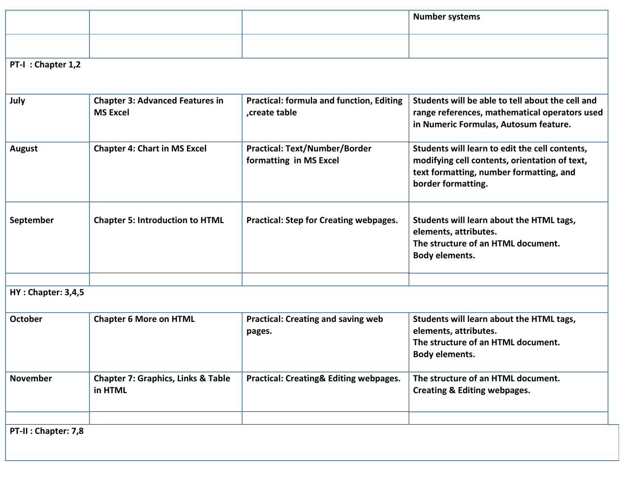|                           |                                                           |                                                                 | <b>Number systems</b>                                                                                                                                            |
|---------------------------|-----------------------------------------------------------|-----------------------------------------------------------------|------------------------------------------------------------------------------------------------------------------------------------------------------------------|
|                           |                                                           |                                                                 |                                                                                                                                                                  |
| PT-I: Chapter 1,2         |                                                           |                                                                 |                                                                                                                                                                  |
| July                      | <b>Chapter 3: Advanced Features in</b><br><b>MS Excel</b> | <b>Practical: formula and function, Editing</b><br>create table | Students will be able to tell about the cell and<br>range references, mathematical operators used<br>in Numeric Formulas, Autosum feature.                       |
| <b>August</b>             | <b>Chapter 4: Chart in MS Excel</b>                       | <b>Practical: Text/Number/Border</b><br>formatting in MS Excel  | Students will learn to edit the cell contents,<br>modifying cell contents, orientation of text,<br>text formatting, number formatting, and<br>border formatting. |
| September                 | <b>Chapter 5: Introduction to HTML</b>                    | <b>Practical: Step for Creating webpages.</b>                   | Students will learn about the HTML tags,<br>elements, attributes.<br>The structure of an HTML document.<br>Body elements.                                        |
| <b>HY: Chapter: 3,4,5</b> |                                                           |                                                                 |                                                                                                                                                                  |
| October                   | <b>Chapter 6 More on HTML</b>                             | <b>Practical: Creating and saving web</b><br>pages.             | Students will learn about the HTML tags,<br>elements, attributes.<br>The structure of an HTML document.<br>Body elements.                                        |
| <b>November</b>           | <b>Chapter 7: Graphics, Links &amp; Table</b><br>in HTML  | Practical: Creating& Editing webpages.                          | The structure of an HTML document.<br><b>Creating &amp; Editing webpages.</b>                                                                                    |
| PT-II: Chapter: 7,8       |                                                           |                                                                 |                                                                                                                                                                  |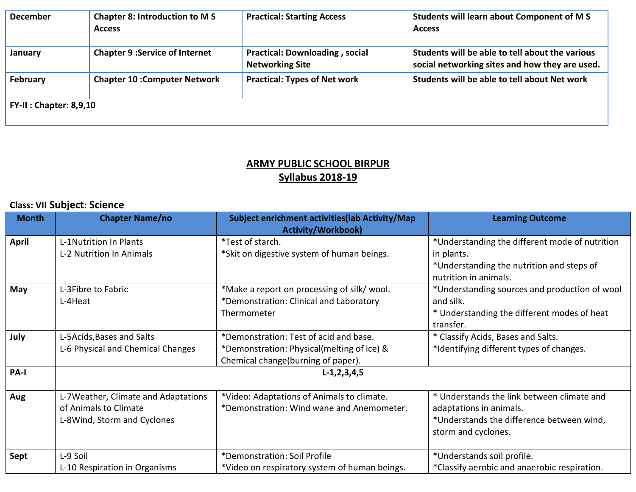| <b>December</b>           | <b>Chapter 8: Introduction to MS</b><br><b>Access</b> | <b>Practical: Starting Access</b>                               | Students will learn about Component of M S<br><b>Access</b>                                       |  |  |  |
|---------------------------|-------------------------------------------------------|-----------------------------------------------------------------|---------------------------------------------------------------------------------------------------|--|--|--|
| January                   | <b>Chapter 9 : Service of Internet</b>                | <b>Practical: Downloading, social</b><br><b>Networking Site</b> | Students will be able to tell about the various<br>social networking sites and how they are used. |  |  |  |
| February                  | <b>Chapter 10: Computer Network</b>                   | <b>Practical: Types of Net work</b>                             | Students will be able to tell about Net work                                                      |  |  |  |
| $FY-II : Chapter: 8,9,10$ |                                                       |                                                                 |                                                                                                   |  |  |  |

#### **ARMY PUBLIC SCHOOL BIRPUR Syllabus 2018-19**

### **Class: VII Subject: Science**

| <b>Month</b> | <b>Chapter Name/no</b>              | Subject enrichment activities(lab Activity/Map<br><b>Activity/Workbook)</b> | <b>Learning Outcome</b>                        |  |
|--------------|-------------------------------------|-----------------------------------------------------------------------------|------------------------------------------------|--|
| April        | L-1Nutrition In Plants              | *Test of starch.                                                            | *Understanding the different mode of nutrition |  |
|              | L-2 Nutrition In Animals            | *Skit on digestive system of human beings.                                  | in plants.                                     |  |
|              |                                     |                                                                             | *Understanding the nutrition and steps of      |  |
|              |                                     |                                                                             | nutrition in animals.                          |  |
| May          | L-3Fibre to Fabric                  | *Make a report on processing of silk/ wool.                                 | *Understanding sources and production of wool  |  |
|              | L-4Heat                             | *Demonstration: Clinical and Laboratory                                     | and silk.                                      |  |
|              |                                     | Thermometer                                                                 | * Understanding the different modes of heat    |  |
|              |                                     |                                                                             | transfer.                                      |  |
| July         | L-5Acids, Bases and Salts           | *Demonstration: Test of acid and base.                                      | * Classify Acids, Bases and Salts.             |  |
|              | L-6 Physical and Chemical Changes   | *Demonstration: Physical(melting of ice) &                                  | *Identifying different types of changes.       |  |
|              |                                     | Chemical change(burning of paper).                                          |                                                |  |
| PA-I         | $L-1, 2, 3, 4, 5$                   |                                                                             |                                                |  |
|              |                                     |                                                                             |                                                |  |
| Aug          | L-7Weather, Climate and Adaptations | *Video: Adaptations of Animals to climate.                                  | * Understands the link between climate and     |  |
|              | of Animals to Climate               | *Demonstration: Wind wane and Anemometer.                                   | adaptations in animals.                        |  |
|              | L-8Wind, Storm and Cyclones         |                                                                             | *Understands the difference between wind,      |  |
|              |                                     |                                                                             | storm and cyclones.                            |  |
|              |                                     |                                                                             |                                                |  |
| Sept         | L-9 Soil                            | *Demonstration: Soil Profile                                                | *Understands soil profile.                     |  |
|              | L-10 Respiration in Organisms       | *Video on respiratory system of human beings.                               | *Classify aerobic and anaerobic respiration.   |  |